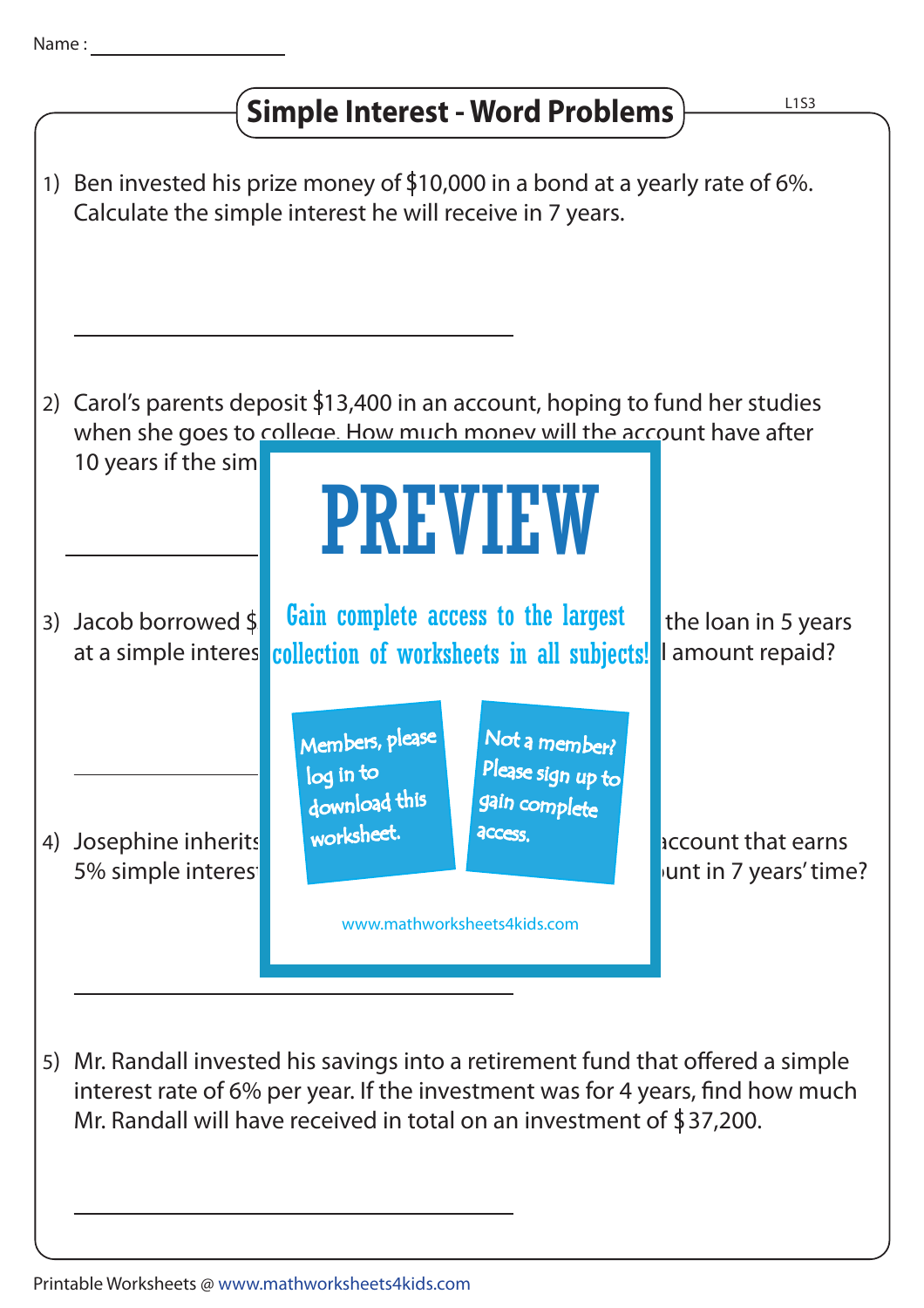## **Simple Interest - Word Problems**

1) Ben invested his prize money of  $$10,000$  in a bond at a yearly rate of 6%. Calculate the simple interest he will receive in 7 years.

2) Carol's parents deposit \$13,400 in an account, hoping to fund her studies when she goes to college. How much money will the account have after 10 years if the sim

## PREVIEW

Jacob borrowed \$ **Gain complete access to the largest** the loan in 5 years at a simple interes collection of worksheets in all subjects! I amount repaid? 3) Jacob borrowed  $\frac{1}{3}$ 

> Members, please download this worksheet. log in to

Not a member? gain complete Please sign up to **access** 

4) Josephine inherits worksheet. And access. The money in account that earns 5% simple interest per year. How much will be in her account in 7 years' time?

5) Mr. Randall invested his savings into a retirement fund that offered a simple interest rate of 6% per year. If the investment was for 4 years, find how much Mr. Randall will have received in total on an investment of \$37,200.

www.mathworksheets4kids.com